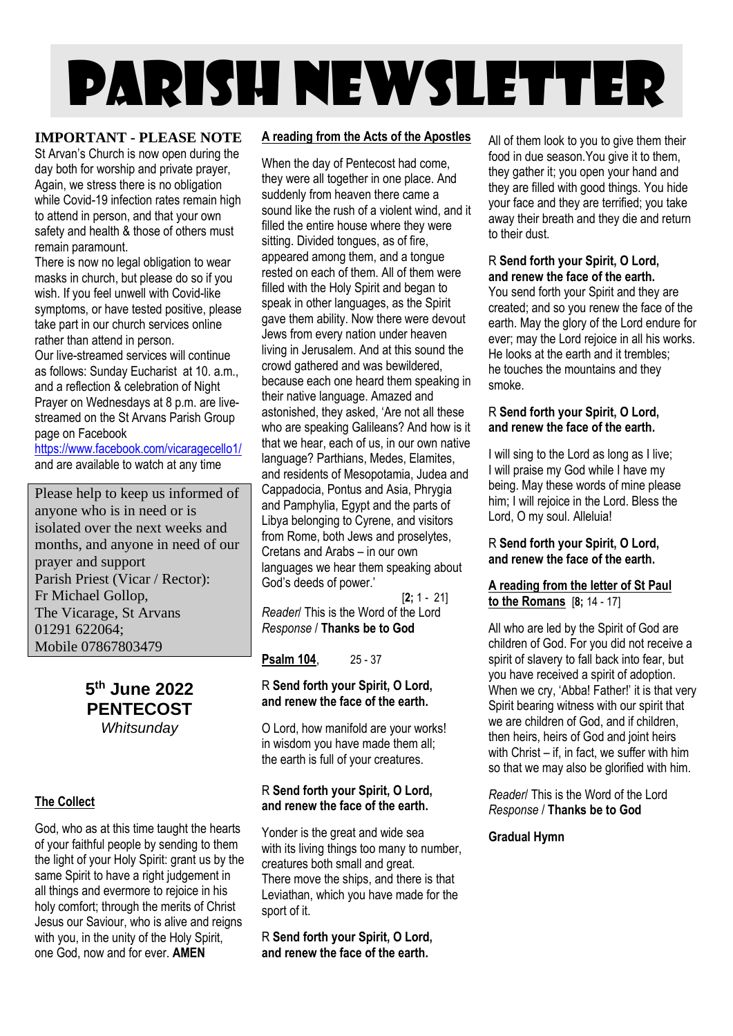# PARISH NEWSLETTER

## **IMPORTANT - PLEASE NOTE**

St Arvan's Church is now open during the day both for worship and private prayer, Again, we stress there is no obligation while Covid-19 infection rates remain high to attend in person, and that your own safety and health & those of others must remain paramount.

There is now no legal obligation to wear masks in church, but please do so if you wish. If you feel unwell with Covid-like symptoms, or have tested positive, please take part in our church services online rather than attend in person.

Our live-streamed services will continue as follows: Sunday Eucharist at 10. a.m., and a reflection & celebration of Night Prayer on Wednesdays at 8 p.m. are livestreamed on the St Arvans Parish Group page on Facebook

<https://www.facebook.com/vicaragecello1/> and are available to watch at any time

Please help to keep us informed of anyone who is in need or is isolated over the next weeks and months, and anyone in need of our prayer and support Parish Priest (Vicar / Rector): Fr Michael Gollop, The Vicarage, St Arvans 01291 622064; Mobile 07867803479

## **5 th June 2022 PENTECOST** *Whitsunday*

# **The Collect**

God, who as at this time taught the hearts of your faithful people by sending to them the light of your Holy Spirit: grant us by the same Spirit to have a right judgement in all things and evermore to rejoice in his holy comfort; through the merits of Christ Jesus our Saviour, who is alive and reigns with you, in the unity of the Holy Spirit, one God, now and for ever. **AMEN**

## **A reading from the Acts of the Apostles**

When the day of Pentecost had come, they were all together in one place. And suddenly from heaven there came a sound like the rush of a violent wind, and it filled the entire house where they were sitting. Divided tongues, as of fire, appeared among them, and a tongue rested on each of them. All of them were filled with the Holy Spirit and began to speak in other languages, as the Spirit gave them ability. Now there were devout Jews from every nation under heaven living in Jerusalem. And at this sound the crowd gathered and was bewildered, because each one heard them speaking in their native language. Amazed and astonished, they asked, 'Are not all these who are speaking Galileans? And how is it that we hear, each of us, in our own native language? Parthians, Medes, Elamites, and residents of Mesopotamia, Judea and Cappadocia, Pontus and Asia, Phrygia and Pamphylia, Egypt and the parts of Libya belonging to Cyrene, and visitors from Rome, both Jews and proselytes, Cretans and Arabs – in our own languages we hear them speaking about God's deeds of power.'

 [**2;** 1 - 21] *Reader*/ This is the Word of the Lord *Response* / **Thanks be to God**

**Psalm 104**, 25 - 37

#### R **Send forth your Spirit, O Lord, and renew the face of the earth.**

O Lord, how manifold are your works! in wisdom you have made them all; the earth is full of your creatures.

#### R **Send forth your Spirit, O Lord, and renew the face of the earth.**

Yonder is the great and wide sea with its living things too many to number, creatures both small and great. There move the ships, and there is that Leviathan, which you have made for the sport of it.

R **Send forth your Spirit, O Lord, and renew the face of the earth.**

All of them look to you to give them their food in due season.You give it to them, they gather it; you open your hand and they are filled with good things. You hide your face and they are terrified; you take away their breath and they die and return to their dust.

#### R **Send forth your Spirit, O Lord, and renew the face of the earth.**

You send forth your Spirit and they are created; and so you renew the face of the earth. May the glory of the Lord endure for ever; may the Lord rejoice in all his works. He looks at the earth and it trembles; he touches the mountains and they smoke.

#### R **Send forth your Spirit, O Lord, and renew the face of the earth.**

I will sing to the Lord as long as I live; I will praise my God while I have my being. May these words of mine please him; I will rejoice in the Lord. Bless the Lord, O my soul. Alleluia!

R **Send forth your Spirit, O Lord, and renew the face of the earth.**

#### **A reading from the letter of St Paul to the Romans** [**8;** 14 - 17]

All who are led by the Spirit of God are children of God. For you did not receive a spirit of slavery to fall back into fear, but you have received a spirit of adoption. When we cry, 'Abba! Father!' it is that very Spirit bearing witness with our spirit that we are children of God, and if children, then heirs, heirs of God and joint heirs with Christ – if, in fact, we suffer with him so that we may also be glorified with him.

*Reader*/ This is the Word of the Lord *Response* / **Thanks be to God**

#### **Gradual Hymn**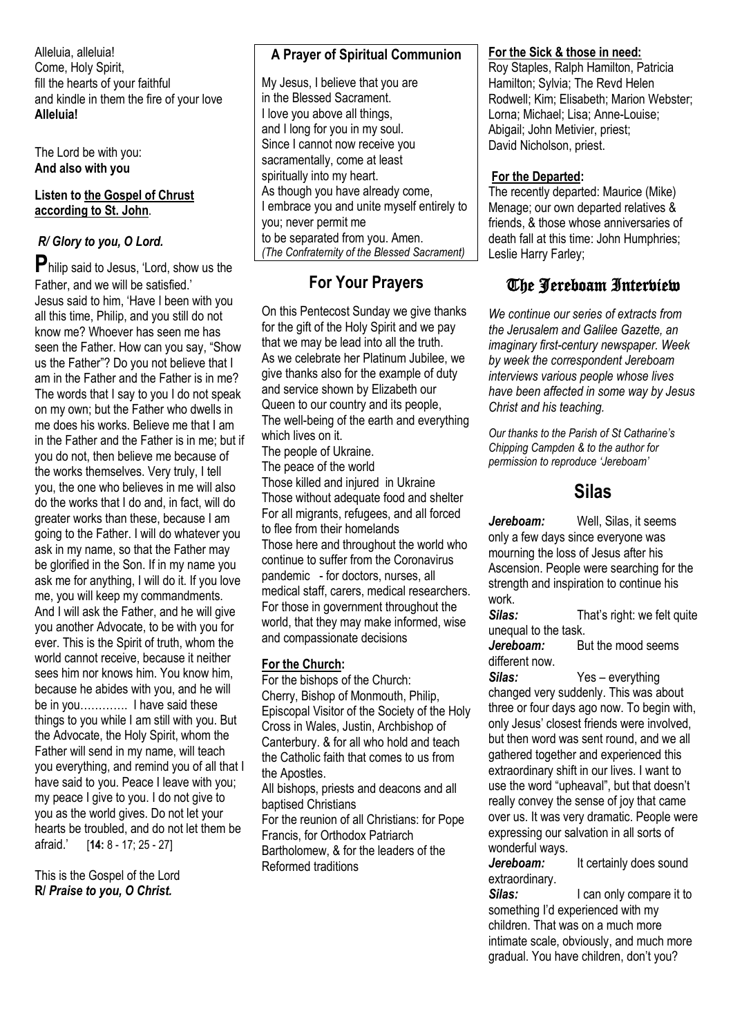Alleluia, alleluia! Come, Holy Spirit, fill the hearts of your faithful and kindle in them the fire of your love **Alleluia!**

The Lord be with you: **And also with you**

#### **Listen to the Gospel of Chrust according to St. John**.

## *R/ Glory to you, O Lord.*

**P**hilip said to Jesus, 'Lord, show us the Father, and we will be satisfied.' Jesus said to him, 'Have I been with you all this time, Philip, and you still do not know me? Whoever has seen me has seen the Father. How can you say, "Show us the Father"? Do you not believe that I am in the Father and the Father is in me? The words that I say to you I do not speak on my own; but the Father who dwells in me does his works. Believe me that I am in the Father and the Father is in me; but if you do not, then believe me because of the works themselves. Very truly, I tell you, the one who believes in me will also do the works that I do and, in fact, will do greater works than these, because I am going to the Father. I will do whatever you ask in my name, so that the Father may be glorified in the Son. If in my name you ask me for anything, I will do it. If you love me, you will keep my commandments. And I will ask the Father, and he will give you another Advocate, to be with you for ever. This is the Spirit of truth, whom the world cannot receive, because it neither sees him nor knows him. You know him, because he abides with you, and he will be in you…………. I have said these things to you while I am still with you. But the Advocate, the Holy Spirit, whom the Father will send in my name, will teach you everything, and remind you of all that I have said to you. Peace I leave with you; my peace I give to you. I do not give to you as the world gives. Do not let your hearts be troubled, and do not let them be afraid.' [**14:** 8 - 17; 25 - 27]

This is the Gospel of the Lord **R/** *Praise to you, O Christ.*

#### **A Prayer of Spiritual Communion**

My Jesus, I believe that you are in the Blessed Sacrament. I love you above all things, and I long for you in my soul. Since I cannot now receive you sacramentally, come at least spiritually into my heart. As though you have already come, I embrace you and unite myself entirely to you; never permit me to be separated from you. Amen. *(The Confraternity of the Blessed Sacrament)*

# **For Your Prayers**

On this Pentecost Sunday we give thanks for the gift of the Holy Spirit and we pay that we may be lead into all the truth. As we celebrate her Platinum Jubilee, we give thanks also for the example of duty and service shown by Elizabeth our Queen to our country and its people, The well-being of the earth and everything which lives on it.

The people of Ukraine.

The peace of the world

Those killed and injured in Ukraine Those without adequate food and shelter For all migrants, refugees, and all forced to flee from their homelands Those here and throughout the world who continue to suffer from the Coronavirus pandemic - for doctors, nurses, all medical staff, carers, medical researchers. For those in government throughout the world, that they may make informed, wise and compassionate decisions

#### **For the Church:**

For the bishops of the Church: Cherry, Bishop of Monmouth, Philip, Episcopal Visitor of the Society of the Holy Cross in Wales, Justin, Archbishop of Canterbury. & for all who hold and teach the Catholic faith that comes to us from the Apostles.

All bishops, priests and deacons and all baptised Christians For the reunion of all Christians: for Pope Francis, for Orthodox Patriarch Bartholomew, & for the leaders of the Reformed traditions

#### **For the Sick & those in need:**

Roy Staples, Ralph Hamilton, Patricia Hamilton; Sylvia; The Revd Helen Rodwell; Kim; Elisabeth; Marion Webster; Lorna; Michael; Lisa; Anne-Louise; Abigail; John Metivier, priest; David Nicholson, priest.

#### **For the Departed:**

The recently departed: Maurice (Mike) Menage; our own departed relatives & friends, & those whose anniversaries of death fall at this time: John Humphries; Leslie Harry Farley;

# The Jereboam Interview

*We continue our series of extracts from the Jerusalem and Galilee Gazette, an imaginary first-century newspaper. Week by week the correspondent Jereboam interviews various people whose lives have been affected in some way by Jesus Christ and his teaching.*

*Our thanks to the Parish of St Catharine's Chipping Campden & to the author for permission to reproduce 'Jereboam'*

# **Silas**

*Jereboam:* Well, Silas, it seems only a few days since everyone was mourning the loss of Jesus after his Ascension. People were searching for the strength and inspiration to continue his work.

**Silas:** That's right: we felt quite unequal to the task.

*Jereboam:* But the mood seems different now.

*Silas:* Yes – everything changed very suddenly. This was about three or four days ago now. To begin with, only Jesus' closest friends were involved, but then word was sent round, and we all gathered together and experienced this extraordinary shift in our lives. I want to use the word "upheaval", but that doesn't really convey the sense of joy that came over us. It was very dramatic. People were expressing our salvation in all sorts of wonderful ways.

*Jereboam:* It certainly does sound extraordinary.

**Silas:** I can only compare it to something I'd experienced with my children. That was on a much more intimate scale, obviously, and much more gradual. You have children, don't you?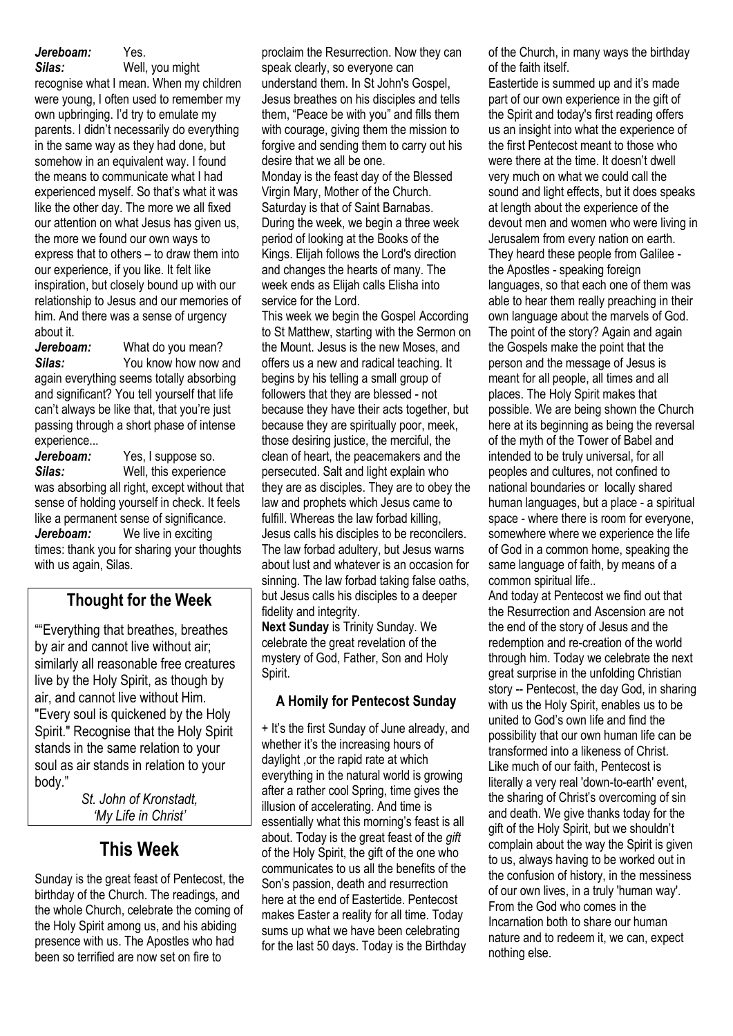*Jereboam:* Yes.

*Silas:* Well, you might recognise what I mean. When my children were young, I often used to remember my own upbringing. I'd try to emulate my parents. I didn't necessarily do everything in the same way as they had done, but somehow in an equivalent way. I found the means to communicate what I had experienced myself. So that's what it was like the other day. The more we all fixed our attention on what Jesus has given us, the more we found our own ways to express that to others – to draw them into our experience, if you like. It felt like inspiration, but closely bound up with our relationship to Jesus and our memories of him. And there was a sense of urgency about it.

*Jereboam:* What do you mean? *Silas:* You know how now and again everything seems totally absorbing and significant? You tell yourself that life can't always be like that, that you're just passing through a short phase of intense experience...

*Jereboam:* Yes, I suppose so. *Silas:* Well, this experience was absorbing all right, except without that sense of holding yourself in check. It feels like a permanent sense of significance. *Jereboam:* We live in exciting times: thank you for sharing your thoughts with us again, Silas.

# **Thought for the Week**

""Everything that breathes, breathes by air and cannot live without air; similarly all reasonable free creatures live by the Holy Spirit, as though by air, and cannot live without Him. "Every soul is quickened by the Holy Spirit." Recognise that the Holy Spirit stands in the same relation to your soul as air stands in relation to your body."

> *St. John of Kronstadt, 'My Life in Christ'*

# **This Week**

Sunday is the great feast of Pentecost, the birthday of the Church. The readings, and the whole Church, celebrate the coming of the Holy Spirit among us, and his abiding presence with us. The Apostles who had been so terrified are now set on fire to

proclaim the Resurrection. Now they can speak clearly, so everyone can understand them. In St John's Gospel, Jesus breathes on his disciples and tells them, "Peace be with you" and fills them with courage, giving them the mission to forgive and sending them to carry out his desire that we all be one. Monday is the feast day of the Blessed Virgin Mary, Mother of the Church. Saturday is that of Saint Barnabas. During the week, we begin a three week period of looking at the Books of the Kings. Elijah follows the Lord's direction and changes the hearts of many. The week ends as Elijah calls Elisha into service for the Lord.

This week we begin the Gospel According to St Matthew, starting with the Sermon on the Mount. Jesus is the new Moses, and offers us a new and radical teaching. It begins by his telling a small group of followers that they are blessed - not because they have their acts together, but because they are spiritually poor, meek, those desiring justice, the merciful, the clean of heart, the peacemakers and the persecuted. Salt and light explain who they are as disciples. They are to obey the law and prophets which Jesus came to fulfill. Whereas the law forbad killing, Jesus calls his disciples to be reconcilers. The law forbad adultery, but Jesus warns about lust and whatever is an occasion for sinning. The law forbad taking false oaths, but Jesus calls his disciples to a deeper fidelity and integrity.

**Next Sunday** is Trinity Sunday. We celebrate the great revelation of the mystery of God, Father, Son and Holy Spirit.

#### **A Homily for Pentecost Sunday**

+ It's the first Sunday of June already, and whether it's the increasing hours of daylight ,or the rapid rate at which everything in the natural world is growing after a rather cool Spring, time gives the illusion of accelerating. And time is essentially what this morning's feast is all about. Today is the great feast of the *gift*  of the Holy Spirit, the gift of the one who communicates to us all the benefits of the Son's passion, death and resurrection here at the end of Eastertide. Pentecost makes Easter a reality for all time. Today sums up what we have been celebrating for the last 50 days. Today is the Birthday

of the Church, in many ways the birthday of the faith itself.

Eastertide is summed up and it's made part of our own experience in the gift of the Spirit and today's first reading offers us an insight into what the experience of the first Pentecost meant to those who were there at the time. It doesn't dwell very much on what we could call the sound and light effects, but it does speaks at length about the experience of the devout men and women who were living in Jerusalem from every nation on earth. They heard these people from Galilee the Apostles - speaking foreign languages, so that each one of them was able to hear them really preaching in their own language about the marvels of God. The point of the story? Again and again the Gospels make the point that the person and the message of Jesus is meant for all people, all times and all places. The Holy Spirit makes that possible. We are being shown the Church here at its beginning as being the reversal of the myth of the Tower of Babel and intended to be truly universal, for all peoples and cultures, not confined to national boundaries or locally shared human languages, but a place - a spiritual space - where there is room for everyone, somewhere where we experience the life of God in a common home, speaking the same language of faith, by means of a common spiritual life..

And today at Pentecost we find out that the Resurrection and Ascension are not the end of the story of Jesus and the redemption and re-creation of the world through him. Today we celebrate the next great surprise in the unfolding Christian story -- Pentecost, the day God, in sharing with us the Holy Spirit, enables us to be united to God's own life and find the possibility that our own human life can be transformed into a likeness of Christ. Like much of our faith, Pentecost is literally a very real 'down-to-earth' event, the sharing of Christ's overcoming of sin and death. We give thanks today for the gift of the Holy Spirit, but we shouldn't complain about the way the Spirit is given to us, always having to be worked out in the confusion of history, in the messiness of our own lives, in a truly 'human way'. From the God who comes in the Incarnation both to share our human nature and to redeem it, we can, expect nothing else.